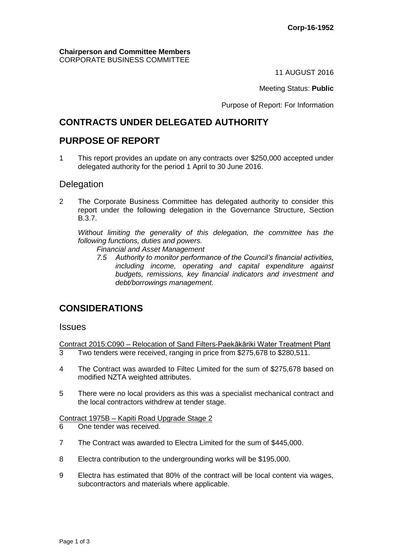#### **Chairperson and Committee Members** CORPORATE BUSINESS COMMITTEE

11 AUGUST 2016

Meeting Status: **Public**

Purpose of Report: For Information

# **CONTRACTS UNDER DELEGATED AUTHORITY**

#### **PURPOSE OF REPORT**

1 This report provides an update on any contracts over \$250,000 accepted under delegated authority for the period 1 April to 30 June 2016.

#### **Delegation**

2 The Corporate Business Committee has delegated authority to consider this report under the following delegation in the Governance Structure, Section B.3.7.

*Without limiting the generality of this delegation, the committee has the following functions, duties and powers.*

- *Financial and Asset Management*
- *7.5 Authority to monitor performance of the Council's financial activities, including income, operating and capital expenditure against budgets, remissions, key financial indicators and investment and debt/borrowings management.*

## **CONSIDERATIONS**

#### **Issues**

Contract 2015:C090 – Relocation of Sand Filters-Paekākāriki Water Treatment Plant

- 3 Two tenders were received, ranging in price from \$275,678 to \$280,511.
- 4 The Contract was awarded to Filtec Limited for the sum of \$275,678 based on modified NZTA weighted attributes.
- 5 There were no local providers as this was a specialist mechanical contract and the local contractors withdrew at tender stage.

Contract 1975B – Kapiti Road Upgrade Stage 2

- 6 One tender was received.
- 7 The Contract was awarded to Electra Limited for the sum of \$445,000.
- 8 Electra contribution to the undergrounding works will be \$195,000.
- 9 Electra has estimated that 80% of the contract will be local content via wages, subcontractors and materials where applicable.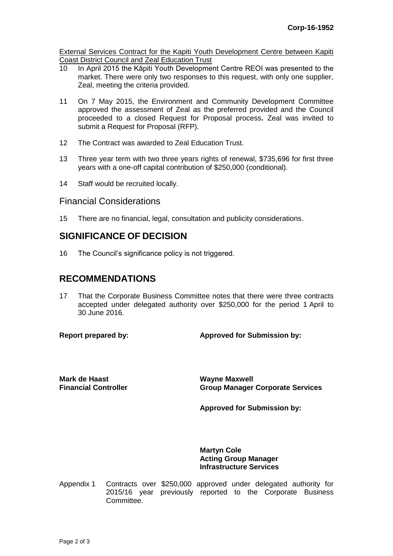External Services Contract for the Kapiti Youth Development Centre between Kapiti Coast District Council and Zeal Education Trust

- 10 In April 2015 the Kāpiti Youth Development Centre REOI was presented to the market. There were only two responses to this request, with only one supplier, Zeal, meeting the criteria provided.
- 11 On 7 May 2015, the Environment and Community Development Committee approved the assessment of Zeal as the preferred provided and the Council proceeded to a closed Request for Proposal process**.** Zeal was invited to submit a Request for Proposal (RFP).
- 12 The Contract was awarded to Zeal Education Trust.
- 13 Three year term with two three years rights of renewal, \$735,696 for first three years with a one-off capital contribution of \$250,000 (conditional).
- 14 Staff would be recruited locally.

#### Financial Considerations

15 There are no financial, legal, consultation and publicity considerations.

## **SIGNIFICANCE OF DECISION**

16 The Council's significance policy is not triggered.

## **RECOMMENDATIONS**

17 That the Corporate Business Committee notes that there were three contracts accepted under delegated authority over \$250,000 for the period 1 April to 30 June 2016.

**Report prepared by: Approved for Submission by:**

**Mark de Haast Financial Controller** **Wayne Maxwell Group Manager Corporate Services**

**Approved for Submission by:**

**Martyn Cole Acting Group Manager Infrastructure Services**

Appendix 1 Contracts over \$250,000 approved under delegated authority for 2015/16 year previously reported to the Corporate Business Committee.